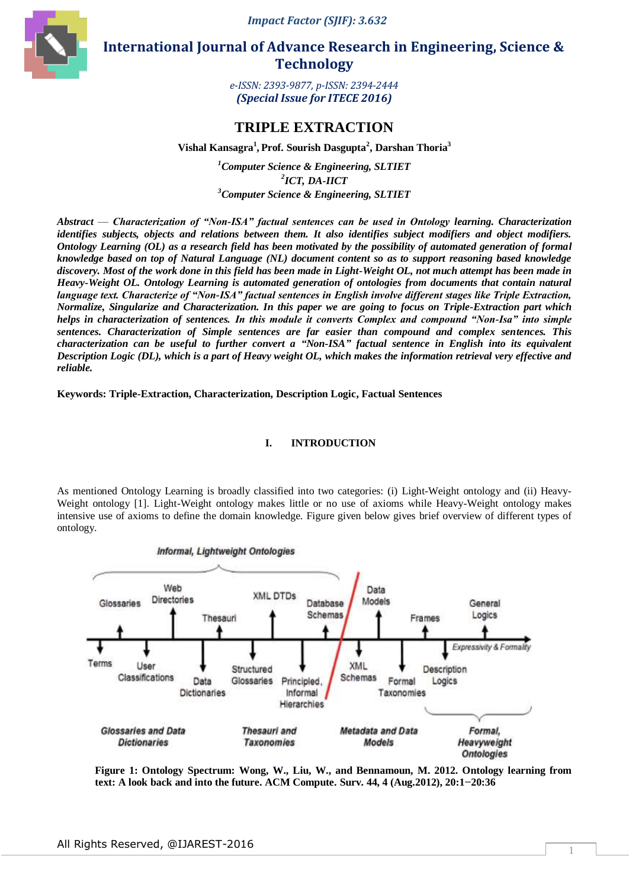*Impact Factor (SJIF): 3.632*



 **International Journal of Advance Research in Engineering, Science & Technology** 

> *e-ISSN: 2393-9877, p-ISSN: 2394-2444 (Special Issue for ITECE 2016)*

# **TRIPLE EXTRACTION**

**Vishal Kansagra<sup>1</sup> , Prof. Sourish Dasgupta<sup>2</sup> , Darshan Thoria<sup>3</sup>**

*<sup>1</sup>Computer Science & Engineering, SLTIET 2 ICT, DA-IICT <sup>3</sup>Computer Science & Engineering, SLTIET*

*Abstract* — *Characterization of "Non-ISA" factual sentences can be used in Ontology learning. Characterization identifies subjects, objects and relations between them. It also identifies subject modifiers and object modifiers. Ontology Learning (OL) as a research field has been motivated by the possibility of automated generation of formal knowledge based on top of Natural Language (NL) document content so as to support reasoning based knowledge discovery. Most of the work done in this field has been made in Light-Weight OL, not much attempt has been made in Heavy-Weight OL. Ontology Learning is automated generation of ontologies from documents that contain natural language text. Characterize of "Non-ISA" factual sentences in English involve different stages like Triple Extraction, Normalize, Singularize and Characterization. In this paper we are going to focus on Triple-Extraction part which helps in characterization of sentences. In this module it converts Complex and compound "Non-Isa" into simple sentences. Characterization of Simple sentences are far easier than compound and complex sentences. This characterization can be useful to further convert a "Non-ISA" factual sentence in English into its equivalent Description Logic (DL), which is a part of Heavy weight OL, which makes the information retrieval very effective and reliable.*

**Keywords: Triple-Extraction, Characterization, Description Logic, Factual Sentences**

# **I. INTRODUCTION**

As mentioned Ontology Learning is broadly classified into two categories: (i) Light-Weight ontology and (ii) Heavy-Weight ontology [1]. Light-Weight ontology makes little or no use of axioms while Heavy-Weight ontology makes intensive use of axioms to define the domain knowledge. Figure given below gives brief overview of different types of ontology.



**Figure 1: Ontology Spectrum: Wong, W., Liu, W., and Bennamoun, M. 2012. Ontology learning from text: A look back and into the future. ACM Compute. Surv. 44, 4 (Aug.2012), 20:1***−***20:36**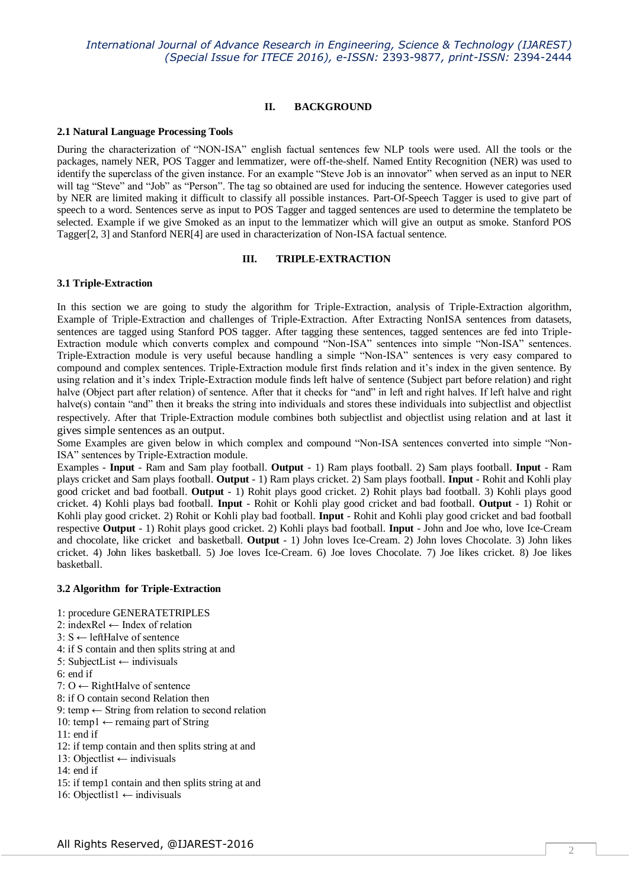## **II. BACKGROUND**

## **2.1 Natural Language Processing Tools**

During the characterization of "NON-ISA" english factual sentences few NLP tools were used. All the tools or the packages, namely NER, POS Tagger and lemmatizer, were off-the-shelf. Named Entity Recognition (NER) was used to identify the superclass of the given instance. For an example "Steve Job is an innovator" when served as an input to NER will tag "Steve" and "Job" as "Person". The tag so obtained are used for inducing the sentence. However categories used by NER are limited making it difficult to classify all possible instances. Part-Of-Speech Tagger is used to give part of speech to a word. Sentences serve as input to POS Tagger and tagged sentences are used to determine the templateto be selected. Example if we give Smoked as an input to the lemmatizer which will give an output as smoke. Stanford POS Tagger[2, 3] and Stanford NER[4] are used in characterization of Non-ISA factual sentence.

# **III. TRIPLE-EXTRACTION**

## **3.1 Triple-Extraction**

In this section we are going to study the algorithm for Triple-Extraction, analysis of Triple-Extraction algorithm, Example of Triple-Extraction and challenges of Triple-Extraction. After Extracting NonISA sentences from datasets, sentences are tagged using Stanford POS tagger. After tagging these sentences, tagged sentences are fed into Triple-Extraction module which converts complex and compound "Non-ISA" sentences into simple "Non-ISA" sentences. Triple-Extraction module is very useful because handling a simple "Non-ISA" sentences is very easy compared to compound and complex sentences. Triple-Extraction module first finds relation and it's index in the given sentence. By using relation and it's index Triple-Extraction module finds left halve of sentence (Subject part before relation) and right halve (Object part after relation) of sentence. After that it checks for "and" in left and right halves. If left halve and right halve(s) contain "and" then it breaks the string into individuals and stores these individuals into subjectlist and objectlist respectively. After that Triple-Extraction module combines both subjectlist and objectlist using relation and at last it gives simple sentences as an output.

Some Examples are given below in which complex and compound "Non-ISA sentences converted into simple "Non-ISA" sentences by Triple-Extraction module.

Examples - **Input** - Ram and Sam play football. **Output** - 1) Ram plays football. 2) Sam plays football. **Input** - Ram plays cricket and Sam plays football. **Output** - 1) Ram plays cricket. 2) Sam plays football. **Input** - Rohit and Kohli play good cricket and bad football. **Output** - 1) Rohit plays good cricket. 2) Rohit plays bad football. 3) Kohli plays good cricket. 4) Kohli plays bad football. **Input** - Rohit or Kohli play good cricket and bad football. **Output** - 1) Rohit or Kohli play good cricket. 2) Rohit or Kohli play bad football. **Input** - Rohit and Kohli play good cricket and bad football respective **Output** - 1) Rohit plays good cricket. 2) Kohli plays bad football. **Input** - John and Joe who, love Ice-Cream and chocolate, like cricket and basketball. **Output** - 1) John loves Ice-Cream. 2) John loves Chocolate. 3) John likes cricket. 4) John likes basketball. 5) Joe loves Ice-Cream. 6) Joe loves Chocolate. 7) Joe likes cricket. 8) Joe likes basketball.

## **3.2 Algorithm for Triple-Extraction**

- 1: procedure GENERATETRIPLES
- 2: indexRel ← Index of relation
- 3: S ← leftHalve of sentence
- 4: if S contain and then splits string at and
- 5: SubjectList ← indivisuals
- 6: end if
- 7: O ← RightHalve of sentence
- 8: if O contain second Relation then
- 9: temp  $\leftarrow$  String from relation to second relation
- 10: temp1  $\leftarrow$  remaing part of String
- 11: end if
- 12: if temp contain and then splits string at and
- 13: Objectlist ← indivisuals
- 14: end if
- 15: if temp1 contain and then splits string at and
- 16: Objectlist1 ← indivisuals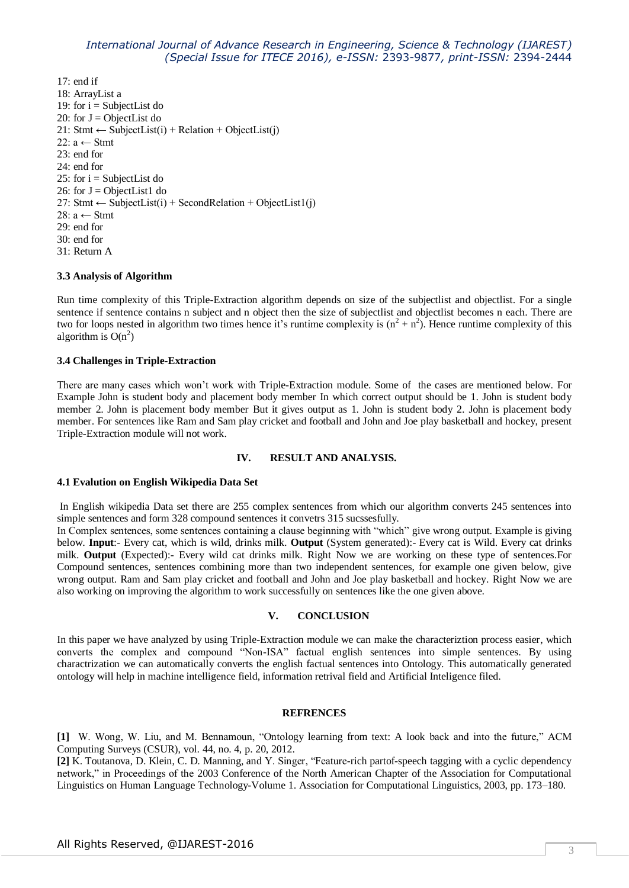17: end if 18: ArrayList a 19: for  $i =$  SubjectList do 20: for  $J =$  ObjectList do 21: Stmt  $\leftarrow$  SubjectList(i) + Relation + ObjectList(j) 22:  $a \leftarrow$  Stmt 23: end for 24: end for 25: for  $i =$  SubjectList do 26: for  $J = ObjectList1$  do 27: Stmt  $\leftarrow$  SubjectList(i) + SecondRelation + ObjectList1(j) 28:  $a \leftarrow$  Stmt 29: end for 30: end for 31: Return A

## **3.3 Analysis of Algorithm**

Run time complexity of this Triple-Extraction algorithm depends on size of the subjectlist and objectlist. For a single sentence if sentence contains n subject and n object then the size of subjectlist and objectlist becomes n each. There are two for loops nested in algorithm two times hence it's runtime complexity is  $(n^2 + n^2)$ . Hence runtime complexity of this algorithm is  $O(n^2)$ 

## **3.4 Challenges in Triple-Extraction**

There are many cases which won't work with Triple-Extraction module. Some of the cases are mentioned below. For Example John is student body and placement body member In which correct output should be 1. John is student body member 2. John is placement body member But it gives output as 1. John is student body 2. John is placement body member. For sentences like Ram and Sam play cricket and football and John and Joe play basketball and hockey, present Triple-Extraction module will not work.

#### **IV. RESULT AND ANALYSIS.**

#### **4.1 Evalution on English Wikipedia Data Set**

In English wikipedia Data set there are 255 complex sentences from which our algorithm converts 245 sentences into simple sentences and form 328 compound sentences it convetrs 315 sucssesfully.

In Complex sentences, some sentences containing a clause beginning with "which" give wrong output. Example is giving below. **Input**:- Every cat, which is wild, drinks milk. **Output** (System generated):- Every cat is Wild. Every cat drinks milk. **Output** (Expected):- Every wild cat drinks milk. Right Now we are working on these type of sentences.For Compound sentences, sentences combining more than two independent sentences, for example one given below, give wrong output. Ram and Sam play cricket and football and John and Joe play basketball and hockey. Right Now we are also working on improving the algorithm to work successfully on sentences like the one given above.

## **V. CONCLUSION**

In this paper we have analyzed by using Triple-Extraction module we can make the characteriztion process easier, which converts the complex and compound "Non-ISA" factual english sentences into simple sentences. By using charactrization we can automatically converts the english factual sentences into Ontology. This automatically generated ontology will help in machine intelligence field, information retrival field and Artificial Inteligence filed.

#### **REFRENCES**

[1] W. Wong, W. Liu, and M. Bennamoun, "Ontology learning from text: A look back and into the future," ACM Computing Surveys (CSUR), vol. 44, no. 4, p. 20, 2012.

[2] K. Toutanova, D. Klein, C. D. Manning, and Y. Singer, "Feature-rich partof-speech tagging with a cyclic dependency network," in Proceedings of the 2003 Conference of the North American Chapter of the Association for Computational Linguistics on Human Language Technology-Volume 1. Association for Computational Linguistics, 2003, pp. 173–180.